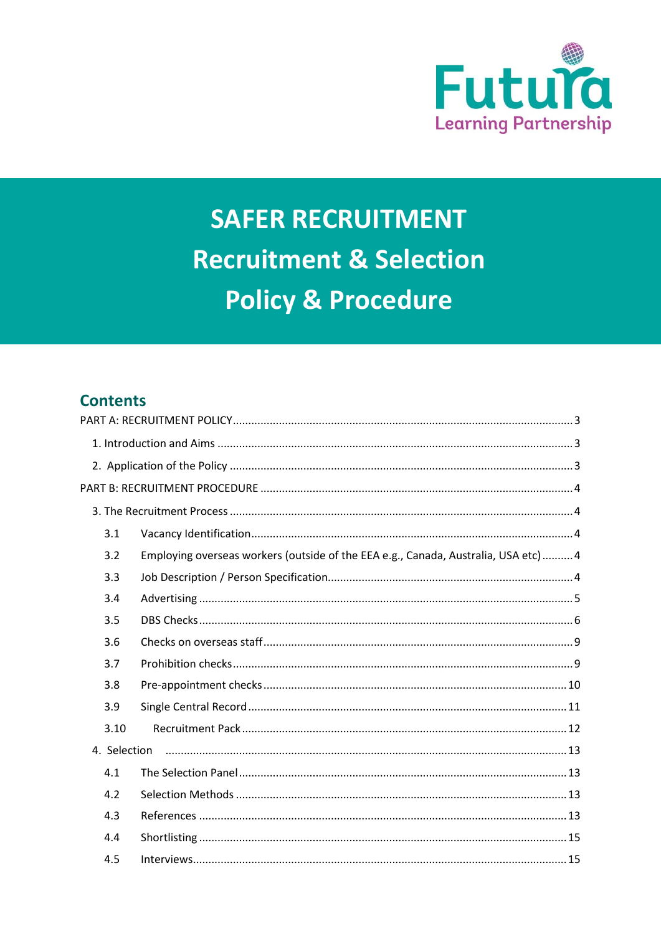

# **SAFER RECRUITMENT Recruitment & Selection Policy & Procedure**

# **Contents**

| 3.1  |                                                                                    |  |  |
|------|------------------------------------------------------------------------------------|--|--|
| 3.2  | Employing overseas workers (outside of the EEA e.g., Canada, Australia, USA etc) 4 |  |  |
| 3.3  |                                                                                    |  |  |
| 3.4  |                                                                                    |  |  |
| 3.5  |                                                                                    |  |  |
| 3.6  |                                                                                    |  |  |
| 3.7  |                                                                                    |  |  |
| 3.8  |                                                                                    |  |  |
| 3.9  |                                                                                    |  |  |
| 3.10 |                                                                                    |  |  |
|      | 4. Selection                                                                       |  |  |
| 4.1  |                                                                                    |  |  |
| 4.2  |                                                                                    |  |  |
| 4.3  |                                                                                    |  |  |
| 4.4  |                                                                                    |  |  |
| 4.5  |                                                                                    |  |  |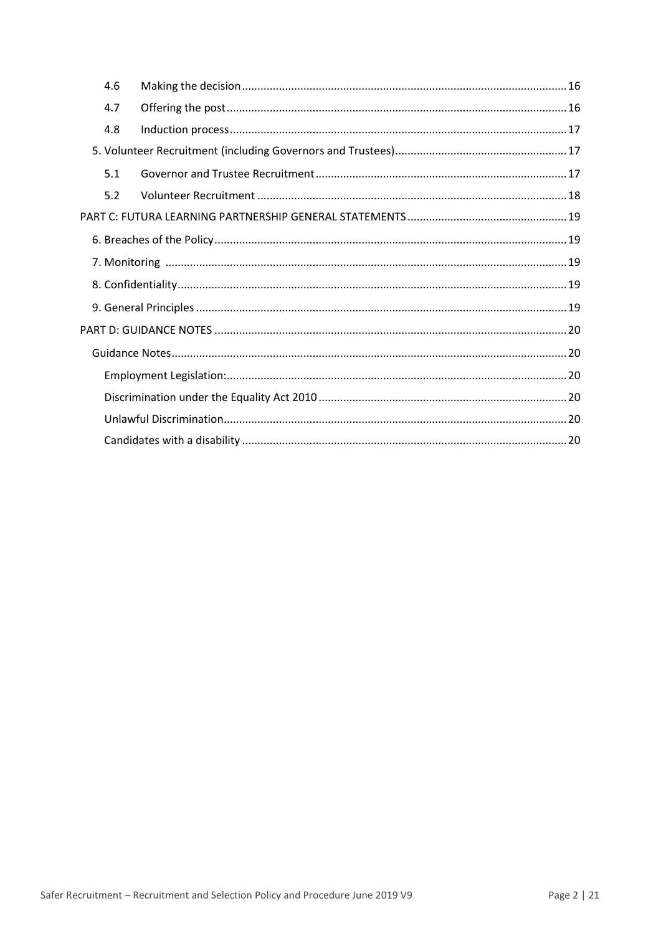|  | 4.6 |  |  |
|--|-----|--|--|
|  | 4.7 |  |  |
|  | 4.8 |  |  |
|  |     |  |  |
|  | 5.1 |  |  |
|  | 5.2 |  |  |
|  |     |  |  |
|  |     |  |  |
|  |     |  |  |
|  |     |  |  |
|  |     |  |  |
|  |     |  |  |
|  |     |  |  |
|  |     |  |  |
|  |     |  |  |
|  |     |  |  |
|  |     |  |  |
|  |     |  |  |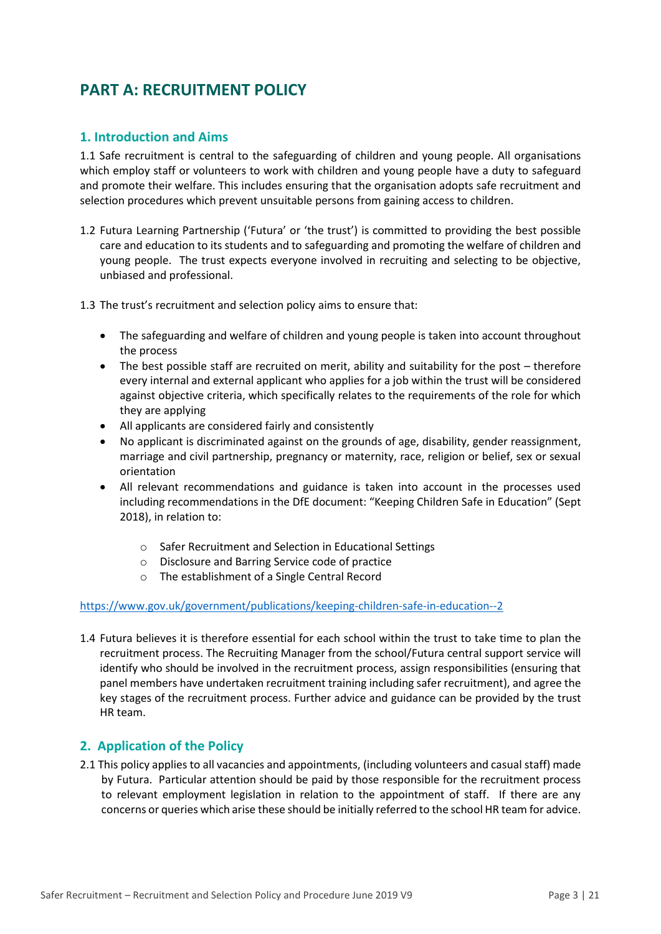# <span id="page-2-0"></span>**PART A: RECRUITMENT POLICY**

# <span id="page-2-1"></span>**1. Introduction and Aims**

1.1 Safe recruitment is central to the safeguarding of children and young people. All organisations which employ staff or volunteers to work with children and young people have a duty to safeguard and promote their welfare. This includes ensuring that the organisation adopts safe recruitment and selection procedures which prevent unsuitable persons from gaining access to children.

- 1.2 Futura Learning Partnership ('Futura' or 'the trust') is committed to providing the best possible care and education to its students and to safeguarding and promoting the welfare of children and young people. The trust expects everyone involved in recruiting and selecting to be objective, unbiased and professional.
- 1.3 The trust's recruitment and selection policy aims to ensure that:
	- The safeguarding and welfare of children and young people is taken into account throughout the process
	- The best possible staff are recruited on merit, ability and suitability for the post therefore every internal and external applicant who applies for a job within the trust will be considered against objective criteria, which specifically relates to the requirements of the role for which they are applying
	- All applicants are considered fairly and consistently
	- No applicant is discriminated against on the grounds of age, disability, gender reassignment, marriage and civil partnership, pregnancy or maternity, race, religion or belief, sex or sexual orientation
	- All relevant recommendations and guidance is taken into account in the processes used including recommendations in the DfE document: "Keeping Children Safe in Education" (Sept 2018), in relation to:
		- o Safer Recruitment and Selection in Educational Settings
		- o Disclosure and Barring Service code of practice
		- o The establishment of a Single Central Record

#### <https://www.gov.uk/government/publications/keeping-children-safe-in-education--2>

1.4 Futura believes it is therefore essential for each school within the trust to take time to plan the recruitment process. The Recruiting Manager from the school/Futura central support service will identify who should be involved in the recruitment process, assign responsibilities (ensuring that panel members have undertaken recruitment training including safer recruitment), and agree the key stages of the recruitment process. Further advice and guidance can be provided by the trust HR team.

# <span id="page-2-2"></span>**2. Application of the Policy**

2.1 This policy applies to all vacancies and appointments, (including volunteers and casual staff) made by Futura. Particular attention should be paid by those responsible for the recruitment process to relevant employment legislation in relation to the appointment of staff. If there are any concerns or queries which arise these should be initially referred to the school HR team for advice.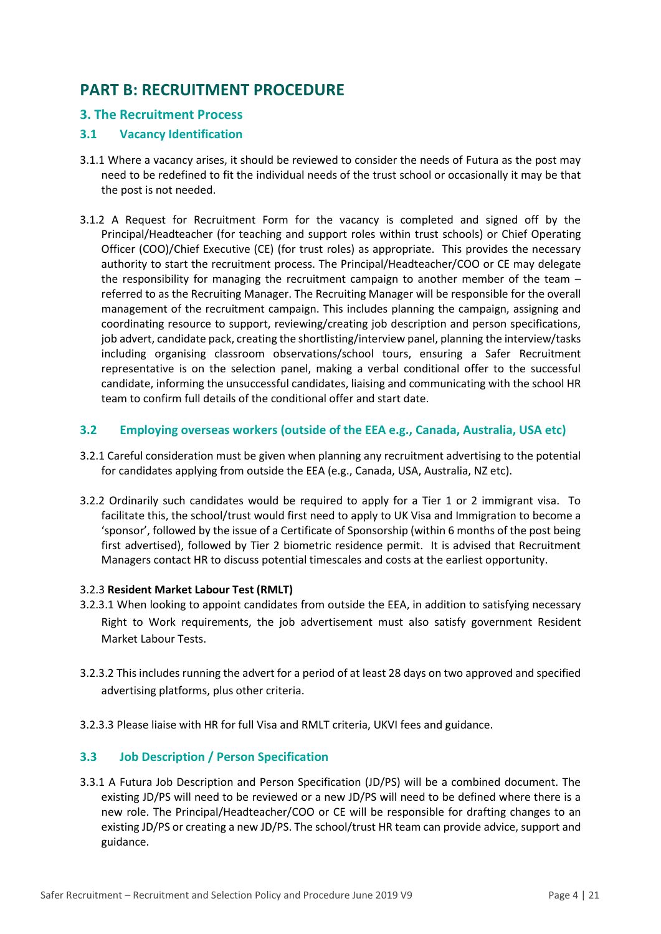# <span id="page-3-0"></span>**PART B: RECRUITMENT PROCEDURE**

# <span id="page-3-1"></span>**3. The Recruitment Process**

# <span id="page-3-2"></span>**3.1 Vacancy Identification**

- 3.1.1 Where a vacancy arises, it should be reviewed to consider the needs of Futura as the post may need to be redefined to fit the individual needs of the trust school or occasionally it may be that the post is not needed.
- 3.1.2 A Request for Recruitment Form for the vacancy is completed and signed off by the Principal/Headteacher (for teaching and support roles within trust schools) or Chief Operating Officer (COO)/Chief Executive (CE) (for trust roles) as appropriate. This provides the necessary authority to start the recruitment process. The Principal/Headteacher/COO or CE may delegate the responsibility for managing the recruitment campaign to another member of the team – referred to as the Recruiting Manager. The Recruiting Manager will be responsible for the overall management of the recruitment campaign. This includes planning the campaign, assigning and coordinating resource to support, reviewing/creating job description and person specifications, job advert, candidate pack, creating the shortlisting/interview panel, planning the interview/tasks including organising classroom observations/school tours, ensuring a Safer Recruitment representative is on the selection panel, making a verbal conditional offer to the successful candidate, informing the unsuccessful candidates, liaising and communicating with the school HR team to confirm full details of the conditional offer and start date.

#### <span id="page-3-3"></span>**3.2 Employing overseas workers (outside of the EEA e.g., Canada, Australia, USA etc)**

- 3.2.1 Careful consideration must be given when planning any recruitment advertising to the potential for candidates applying from outside the EEA (e.g., Canada, USA, Australia, NZ etc).
- 3.2.2 Ordinarily such candidates would be required to apply for a Tier 1 or 2 immigrant visa. To facilitate this, the school/trust would first need to apply to UK Visa and Immigration to become a 'sponsor', followed by the issue of a Certificate of Sponsorship (within 6 months of the post being first advertised), followed by Tier 2 biometric residence permit. It is advised that Recruitment Managers contact HR to discuss potential timescales and costs at the earliest opportunity.

#### 3.2.3 **Resident Market Labour Test (RMLT)**

- 3.2.3.1 When looking to appoint candidates from outside the EEA, in addition to satisfying necessary Right to Work requirements, the job advertisement must also satisfy government Resident Market Labour Tests.
- 3.2.3.2 This includes running the advert for a period of at least 28 days on two approved and specified advertising platforms, plus other criteria.
- 3.2.3.3 Please liaise with HR for full Visa and RMLT criteria, UKVI fees and guidance.

# <span id="page-3-4"></span>**3.3 Job Description / Person Specification**

3.3.1 A Futura Job Description and Person Specification (JD/PS) will be a combined document. The existing JD/PS will need to be reviewed or a new JD/PS will need to be defined where there is a new role. The Principal/Headteacher/COO or CE will be responsible for drafting changes to an existing JD/PS or creating a new JD/PS. The school/trust HR team can provide advice, support and guidance.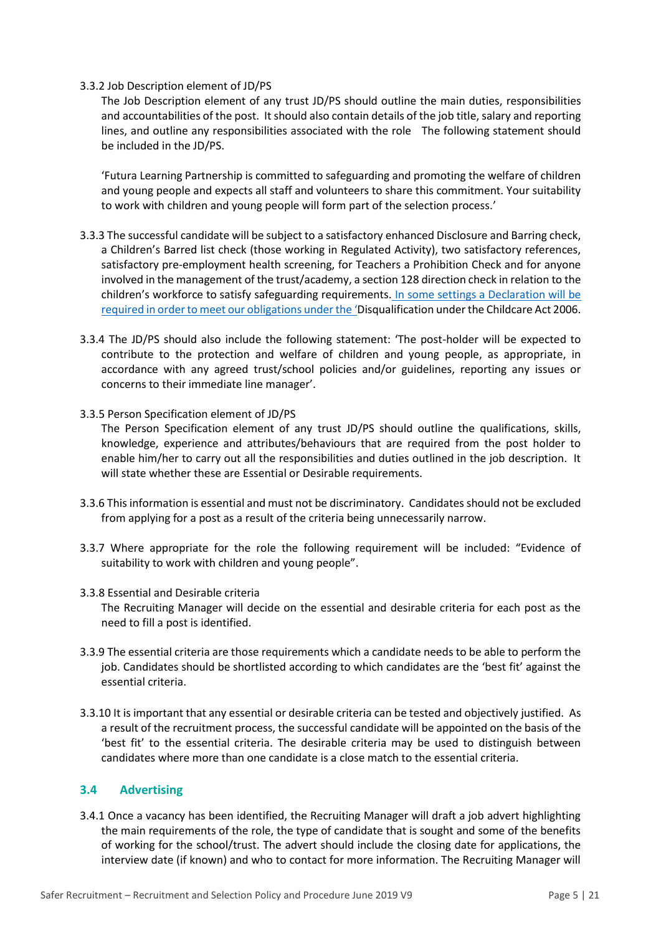#### 3.3.2 Job Description element of JD/PS

The Job Description element of any trust JD/PS should outline the main duties, responsibilities and accountabilities of the post. It should also contain details of the job title, salary and reporting lines, and outline any responsibilities associated with the role The following statement should be included in the JD/PS.

'Futura Learning Partnership is committed to safeguarding and promoting the welfare of children and young people and expects all staff and volunteers to share this commitment. Your suitability to work with children and young people will form part of the selection process.'

- 3.3.3 The successful candidate will be subject to a satisfactory enhanced Disclosure and Barring check, a Children's Barred list check (those working in Regulated Activity), two satisfactory references, satisfactory pre-employment health screening, for Teachers a Prohibition Check and for anyone involved in the management of the trust/academy, a section 128 direction check in relation to the children's workforce to satisfy safeguarding requirements. In some settings a Declaration will be required in order to meet our obligations under the 'Disqualification under the Childcare Act 2006.
- 3.3.4 The JD/PS should also include the following statement: 'The post-holder will be expected to contribute to the protection and welfare of children and young people, as appropriate, in accordance with any agreed trust/school policies and/or guidelines, reporting any issues or concerns to their immediate line manager'.
- 3.3.5 Person Specification element of JD/PS The Person Specification element of any trust JD/PS should outline the qualifications, skills, knowledge, experience and attributes/behaviours that are required from the post holder to enable him/her to carry out all the responsibilities and duties outlined in the job description. It will state whether these are Essential or Desirable requirements.
- 3.3.6 This information is essential and must not be discriminatory. Candidates should not be excluded from applying for a post as a result of the criteria being unnecessarily narrow.
- 3.3.7 Where appropriate for the role the following requirement will be included: "Evidence of suitability to work with children and young people".
- 3.3.8 Essential and Desirable criteria The Recruiting Manager will decide on the essential and desirable criteria for each post as the need to fill a post is identified.
- 3.3.9 The essential criteria are those requirements which a candidate needs to be able to perform the job. Candidates should be shortlisted according to which candidates are the 'best fit' against the essential criteria.
- 3.3.10 It is important that any essential or desirable criteria can be tested and objectively justified. As a result of the recruitment process, the successful candidate will be appointed on the basis of the 'best fit' to the essential criteria. The desirable criteria may be used to distinguish between candidates where more than one candidate is a close match to the essential criteria.

#### <span id="page-4-0"></span>**3.4 Advertising**

3.4.1 Once a vacancy has been identified, the Recruiting Manager will draft a job advert highlighting the main requirements of the role, the type of candidate that is sought and some of the benefits of working for the school/trust. The advert should include the closing date for applications, the interview date (if known) and who to contact for more information. The Recruiting Manager will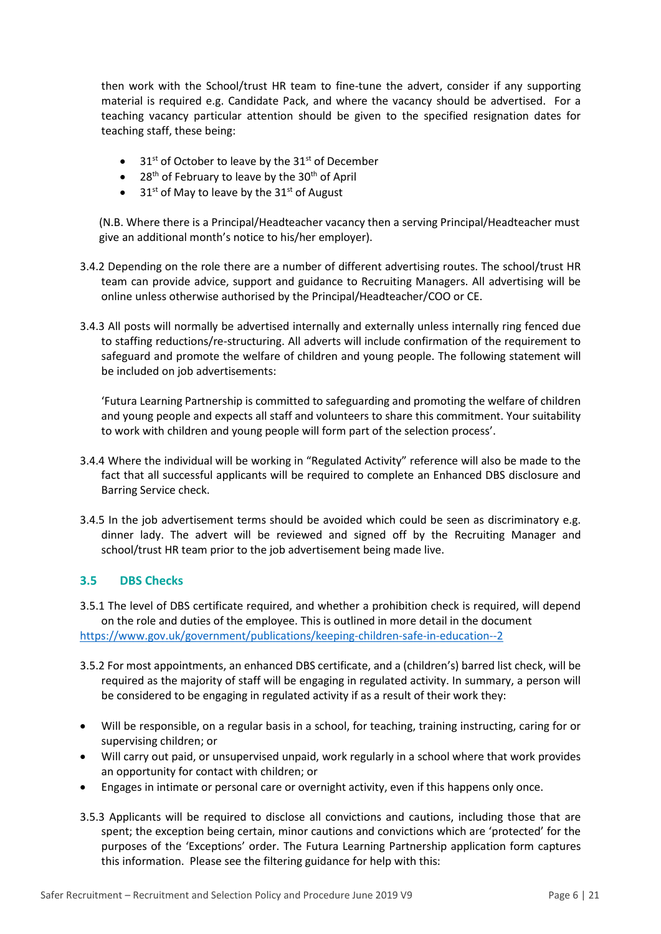then work with the School/trust HR team to fine-tune the advert, consider if any supporting material is required e.g. Candidate Pack, and where the vacancy should be advertised. For a teaching vacancy particular attention should be given to the specified resignation dates for teaching staff, these being:

- $31<sup>st</sup>$  of October to leave by the  $31<sup>st</sup>$  of December
- $\bullet$  28<sup>th</sup> of February to leave by the 30<sup>th</sup> of April
- $\bullet$  31<sup>st</sup> of May to leave by the 31<sup>st</sup> of August

(N.B. Where there is a Principal/Headteacher vacancy then a serving Principal/Headteacher must give an additional month's notice to his/her employer).

- 3.4.2 Depending on the role there are a number of different advertising routes. The school/trust HR team can provide advice, support and guidance to Recruiting Managers. All advertising will be online unless otherwise authorised by the Principal/Headteacher/COO or CE.
- 3.4.3 All posts will normally be advertised internally and externally unless internally ring fenced due to staffing reductions/re-structuring. All adverts will include confirmation of the requirement to safeguard and promote the welfare of children and young people. The following statement will be included on job advertisements:

'Futura Learning Partnership is committed to safeguarding and promoting the welfare of children and young people and expects all staff and volunteers to share this commitment. Your suitability to work with children and young people will form part of the selection process'.

- 3.4.4 Where the individual will be working in "Regulated Activity" reference will also be made to the fact that all successful applicants will be required to complete an Enhanced DBS disclosure and Barring Service check.
- 3.4.5 In the job advertisement terms should be avoided which could be seen as discriminatory e.g. dinner lady. The advert will be reviewed and signed off by the Recruiting Manager and school/trust HR team prior to the job advertisement being made live.

# <span id="page-5-0"></span>**3.5 DBS Checks**

3.5.1 The level of DBS certificate required, and whether a prohibition check is required, will depend on the role and duties of the employee. This is outlined in more detail in the document <https://www.gov.uk/government/publications/keeping-children-safe-in-education--2>

- 3.5.2 For most appointments, an enhanced DBS certificate, and a (children's) barred list check, will be required as the majority of staff will be engaging in regulated activity. In summary, a person will be considered to be engaging in regulated activity if as a result of their work they:
- Will be responsible, on a regular basis in a school, for teaching, training instructing, caring for or supervising children; or
- Will carry out paid, or unsupervised unpaid, work regularly in a school where that work provides an opportunity for contact with children; or
- Engages in intimate or personal care or overnight activity, even if this happens only once.
- 3.5.3 Applicants will be required to disclose all convictions and cautions, including those that are spent; the exception being certain, minor cautions and convictions which are 'protected' for the purposes of the 'Exceptions' order. The Futura Learning Partnership application form captures this information. Please see the filtering guidance for help with this: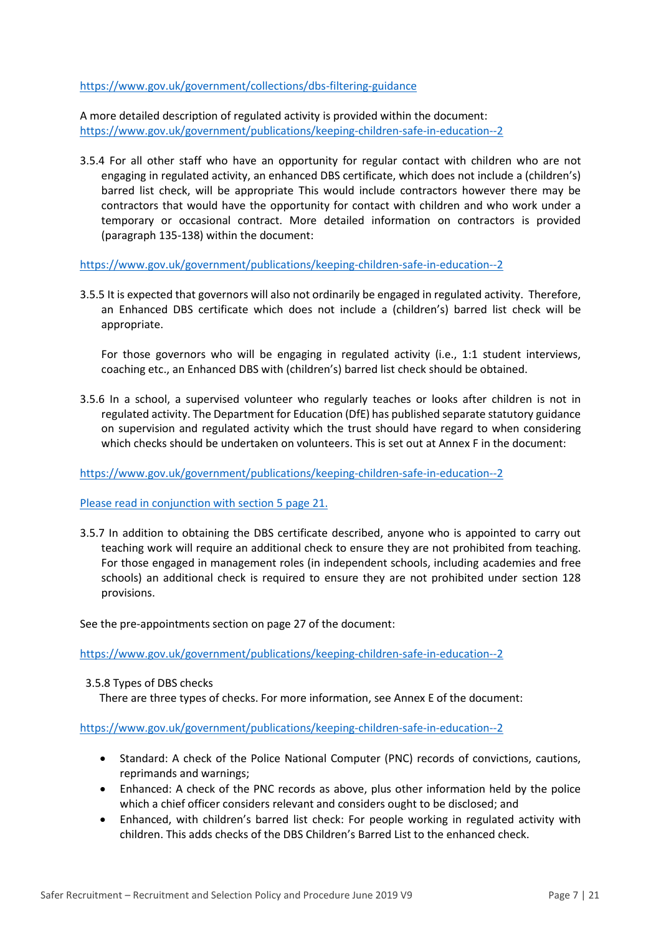<https://www.gov.uk/government/collections/dbs-filtering-guidance>

A more detailed description of regulated activity is provided within the document: <https://www.gov.uk/government/publications/keeping-children-safe-in-education--2>

3.5.4 For all other staff who have an opportunity for regular contact with children who are not engaging in regulated activity, an enhanced DBS certificate, which does not include a (children's) barred list check, will be appropriate This would include contractors however there may be contractors that would have the opportunity for contact with children and who work under a temporary or occasional contract. More detailed information on contractors is provided (paragraph 135-138) within the document:

<https://www.gov.uk/government/publications/keeping-children-safe-in-education--2>

3.5.5 It is expected that governors will also not ordinarily be engaged in regulated activity. Therefore, an Enhanced DBS certificate which does not include a (children's) barred list check will be appropriate.

For those governors who will be engaging in regulated activity (i.e., 1:1 student interviews, coaching etc., an Enhanced DBS with (children's) barred list check should be obtained.

3.5.6 In a school, a supervised volunteer who regularly teaches or looks after children is not in regulated activity. The Department for Education (DfE) has published separate statutory guidance on supervision and regulated activity which the trust should have regard to when considering which checks should be undertaken on volunteers. This is set out at Annex F in the document:

<https://www.gov.uk/government/publications/keeping-children-safe-in-education--2>

Please read in conjunction with section 5 page 21.

3.5.7 In addition to obtaining the DBS certificate described, anyone who is appointed to carry out teaching work will require an additional check to ensure they are not prohibited from teaching. For those engaged in management roles (in independent schools, including academies and free schools) an additional check is required to ensure they are not prohibited under section 128 provisions.

See the pre-appointments section on page 27 of the document:

<https://www.gov.uk/government/publications/keeping-children-safe-in-education--2>

3.5.8 Types of DBS checks There are three types of checks. For more information, see Annex E of the document:

<https://www.gov.uk/government/publications/keeping-children-safe-in-education--2>

- Standard: A check of the Police National Computer (PNC) records of convictions, cautions, reprimands and warnings;
- Enhanced: A check of the PNC records as above, plus other information held by the police which a chief officer considers relevant and considers ought to be disclosed; and
- Enhanced, with children's barred list check: For people working in regulated activity with children. This adds checks of the DBS Children's Barred List to the enhanced check.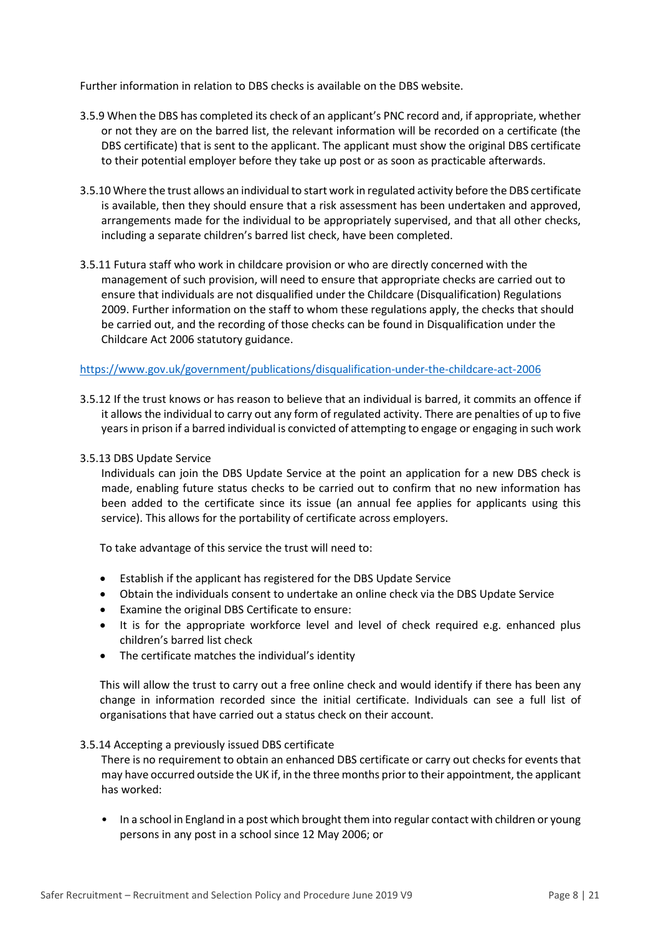Further information in relation to DBS checks is available on the DBS website.

- 3.5.9 When the DBS has completed its check of an applicant's PNC record and, if appropriate, whether or not they are on the barred list, the relevant information will be recorded on a certificate (the DBS certificate) that is sent to the applicant. The applicant must show the original DBS certificate to their potential employer before they take up post or as soon as practicable afterwards.
- 3.5.10 Where the trust allows an individual to start work in regulated activity before the DBS certificate is available, then they should ensure that a risk assessment has been undertaken and approved, arrangements made for the individual to be appropriately supervised, and that all other checks, including a separate children's barred list check, have been completed.
- 3.5.11 Futura staff who work in childcare provision or who are directly concerned with the management of such provision, will need to ensure that appropriate checks are carried out to ensure that individuals are not disqualified under the Childcare (Disqualification) Regulations 2009. Further information on the staff to whom these regulations apply, the checks that should be carried out, and the recording of those checks can be found in Disqualification under the Childcare Act 2006 statutory guidance.

#### <https://www.gov.uk/government/publications/disqualification-under-the-childcare-act-2006>

3.5.12 If the trust knows or has reason to believe that an individual is barred, it commits an offence if it allows the individual to carry out any form of regulated activity. There are penalties of up to five years in prison if a barred individual is convicted of attempting to engage or engaging in such work

#### 3.5.13 DBS Update Service

Individuals can join the DBS Update Service at the point an application for a new DBS check is made, enabling future status checks to be carried out to confirm that no new information has been added to the certificate since its issue (an annual fee applies for applicants using this service). This allows for the portability of certificate across employers.

To take advantage of this service the trust will need to:

- Establish if the applicant has registered for the DBS Update Service
- Obtain the individuals consent to undertake an online check via the DBS Update Service
- Examine the original DBS Certificate to ensure:
- It is for the appropriate workforce level and level of check required e.g. enhanced plus children's barred list check
- The certificate matches the individual's identity

This will allow the trust to carry out a free online check and would identify if there has been any change in information recorded since the initial certificate. Individuals can see a full list of organisations that have carried out a status check on their account.

#### 3.5.14 Accepting a previously issued DBS certificate

There is no requirement to obtain an enhanced DBS certificate or carry out checks for events that may have occurred outside the UK if, in the three months prior to their appointment, the applicant has worked:

• In a school in England in a post which brought them into regular contact with children or young persons in any post in a school since 12 May 2006; or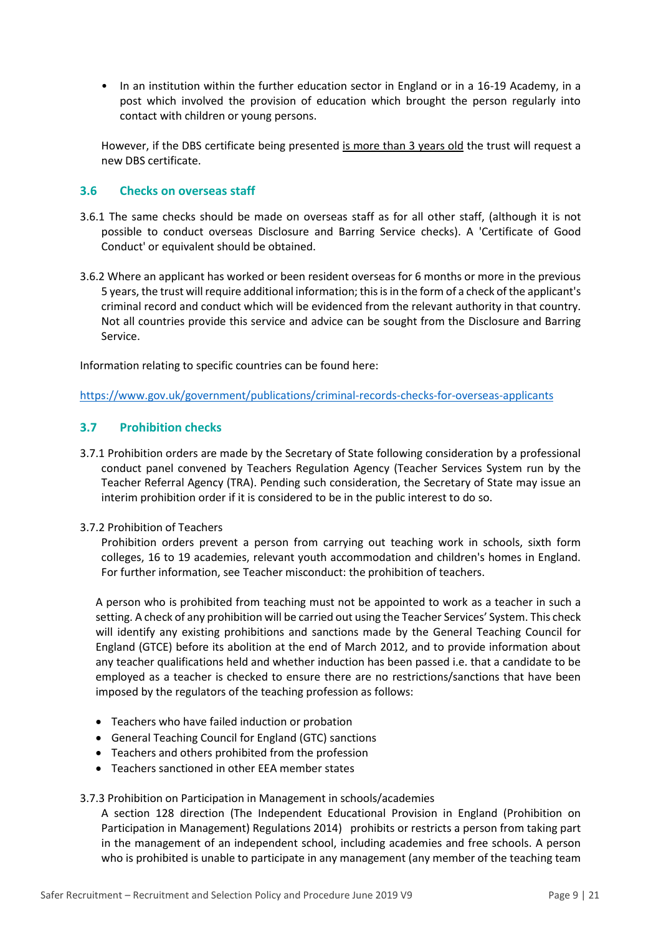• In an institution within the further education sector in England or in a 16-19 Academy, in a post which involved the provision of education which brought the person regularly into contact with children or young persons.

However, if the DBS certificate being presented is more than 3 years old the trust will request a new DBS certificate.

# <span id="page-8-0"></span>**3.6 Checks on overseas staff**

- 3.6.1 The same checks should be made on overseas staff as for all other staff, (although it is not possible to conduct overseas Disclosure and Barring Service checks). A 'Certificate of Good Conduct' or equivalent should be obtained.
- 3.6.2 Where an applicant has worked or been resident overseas for 6 months or more in the previous 5 years, the trust will require additional information; this is in the form of a check of the applicant's criminal record and conduct which will be evidenced from the relevant authority in that country. Not all countries provide this service and advice can be sought from the Disclosure and Barring Service.

Information relating to specific countries can be found here:

<https://www.gov.uk/government/publications/criminal-records-checks-for-overseas-applicants>

# <span id="page-8-1"></span>**3.7 Prohibition checks**

3.7.1 Prohibition orders are made by the Secretary of State following consideration by a professional conduct panel convened by Teachers Regulation Agency (Teacher Services System run by the Teacher Referral Agency (TRA). Pending such consideration, the Secretary of State may issue an interim prohibition order if it is considered to be in the public interest to do so.

#### 3.7.2 Prohibition of Teachers

Prohibition orders prevent a person from carrying out teaching work in schools, sixth form colleges, 16 to 19 academies, relevant youth accommodation and children's homes in England. For further information, see Teacher misconduct: the prohibition of teachers.

A person who is prohibited from teaching must not be appointed to work as a teacher in such a setting. A check of any prohibition will be carried out using the Teacher Services' System. This check will identify any existing prohibitions and sanctions made by the General Teaching Council for England (GTCE) before its abolition at the end of March 2012, and to provide information about any teacher qualifications held and whether induction has been passed i.e. that a candidate to be employed as a teacher is checked to ensure there are no restrictions/sanctions that have been imposed by the regulators of the teaching profession as follows:

- Teachers who have failed induction or probation
- General Teaching Council for England (GTC) sanctions
- Teachers and others prohibited from the profession
- Teachers sanctioned in other EEA member states

#### 3.7.3 Prohibition on Participation in Management in schools/academies

A section 128 direction (The Independent Educational Provision in England (Prohibition on Participation in Management) Regulations 2014) prohibits or restricts a person from taking part in the management of an independent school, including academies and free schools. A person who is prohibited is unable to participate in any management (any member of the teaching team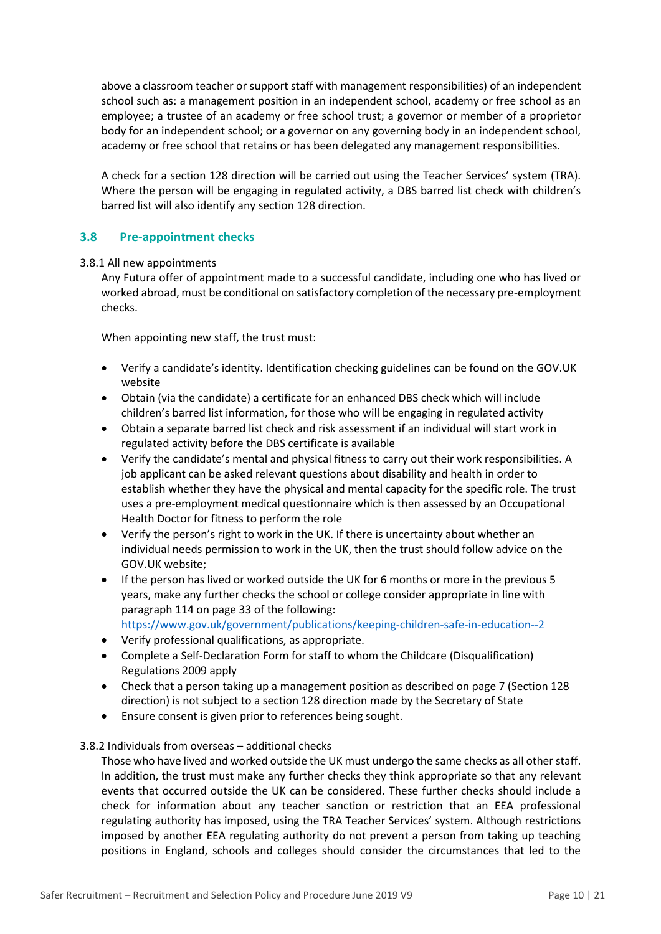above a classroom teacher or support staff with management responsibilities) of an independent school such as: a management position in an independent school, academy or free school as an employee; a trustee of an academy or free school trust; a governor or member of a proprietor body for an independent school; or a governor on any governing body in an independent school, academy or free school that retains or has been delegated any management responsibilities.

A check for a section 128 direction will be carried out using the Teacher Services' system (TRA). Where the person will be engaging in regulated activity, a DBS barred list check with children's barred list will also identify any section 128 direction.

# <span id="page-9-0"></span>**3.8 Pre-appointment checks**

#### 3.8.1 All new appointments

Any Futura offer of appointment made to a successful candidate, including one who has lived or worked abroad, must be conditional on satisfactory completion of the necessary pre-employment checks.

When appointing new staff, the trust must:

- Verify a candidate's identity. Identification checking guidelines can be found on the GOV.UK website
- Obtain (via the candidate) a certificate for an enhanced DBS check which will include children's barred list information, for those who will be engaging in regulated activity
- Obtain a separate barred list check and risk assessment if an individual will start work in regulated activity before the DBS certificate is available
- Verify the candidate's mental and physical fitness to carry out their work responsibilities. A job applicant can be asked relevant questions about disability and health in order to establish whether they have the physical and mental capacity for the specific role. The trust uses a pre-employment medical questionnaire which is then assessed by an Occupational Health Doctor for fitness to perform the role
- Verify the person's right to work in the UK. If there is uncertainty about whether an individual needs permission to work in the UK, then the trust should follow advice on the GOV.UK website;
- If the person has lived or worked outside the UK for 6 months or more in the previous 5 years, make any further checks the school or college consider appropriate in line with paragraph 114 on page 33 of the following:
- <https://www.gov.uk/government/publications/keeping-children-safe-in-education--2>
- Verify professional qualifications, as appropriate.
- Complete a Self-Declaration Form for staff to whom the Childcare (Disqualification) Regulations 2009 apply
- Check that a person taking up a management position as described on page 7 (Section 128 direction) is not subject to a section 128 direction made by the Secretary of State
- Ensure consent is given prior to references being sought.
- 3.8.2 Individuals from overseas additional checks

Those who have lived and worked outside the UK must undergo the same checks as all other staff. In addition, the trust must make any further checks they think appropriate so that any relevant events that occurred outside the UK can be considered. These further checks should include a check for information about any teacher sanction or restriction that an EEA professional regulating authority has imposed, using the TRA Teacher Services' system. Although restrictions imposed by another EEA regulating authority do not prevent a person from taking up teaching positions in England, schools and colleges should consider the circumstances that led to the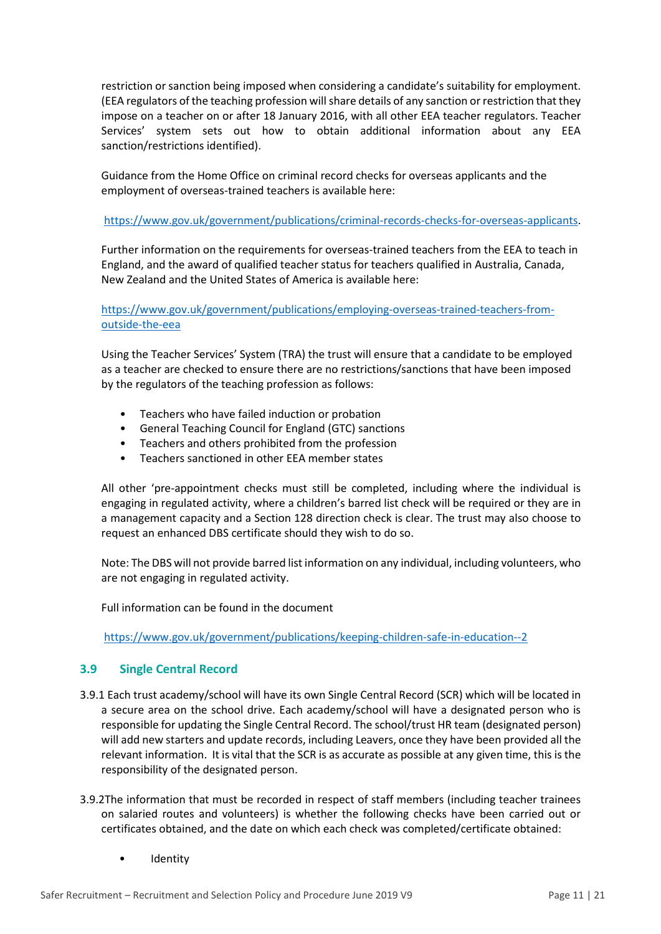restriction or sanction being imposed when considering a candidate's suitability for employment. (EEA regulators of the teaching profession will share details of any sanction or restriction that they impose on a teacher on or after 18 January 2016, with all other EEA teacher regulators. Teacher Services' system sets out how to obtain additional information about any EEA sanction/restrictions identified).

Guidance from the Home Office on criminal record checks for overseas applicants and the employment of overseas-trained teachers is available here:

[https://www.gov.uk/government/publications/criminal-records-checks-for-overseas-applicants.](https://www.gov.uk/government/publications/criminal-records-checks-for-overseas-applicants)

Further information on the requirements for overseas-trained teachers from the EEA to teach in England, and the award of qualified teacher status for teachers qualified in Australia, Canada, New Zealand and the United States of America is available here:

[https://www.gov.uk/government/publications/employing-overseas-trained-teachers-from](https://www.gov.uk/government/publications/employing-overseas-trained-teachers-from-outside-the-eea)[outside-the-eea](https://www.gov.uk/government/publications/employing-overseas-trained-teachers-from-outside-the-eea)

Using the Teacher Services' System (TRA) the trust will ensure that a candidate to be employed as a teacher are checked to ensure there are no restrictions/sanctions that have been imposed by the regulators of the teaching profession as follows:

- Teachers who have failed induction or probation
- General Teaching Council for England (GTC) sanctions
- Teachers and others prohibited from the profession
- Teachers sanctioned in other EEA member states

All other 'pre-appointment checks must still be completed, including where the individual is engaging in regulated activity, where a children's barred list check will be required or they are in a management capacity and a Section 128 direction check is clear. The trust may also choose to request an enhanced DBS certificate should they wish to do so.

Note: The DBS will not provide barred list information on any individual, including volunteers, who are not engaging in regulated activity.

Full information can be found in the document

<https://www.gov.uk/government/publications/keeping-children-safe-in-education--2>

# <span id="page-10-0"></span>**3.9 Single Central Record**

- 3.9.1 Each trust academy/school will have its own Single Central Record (SCR) which will be located in a secure area on the school drive. Each academy/school will have a designated person who is responsible for updating the Single Central Record. The school/trust HR team (designated person) will add new starters and update records, including Leavers, once they have been provided all the relevant information. It is vital that the SCR is as accurate as possible at any given time, this is the responsibility of the designated person.
- 3.9.2The information that must be recorded in respect of staff members (including teacher trainees on salaried routes and volunteers) is whether the following checks have been carried out or certificates obtained, and the date on which each check was completed/certificate obtained:
	- Identity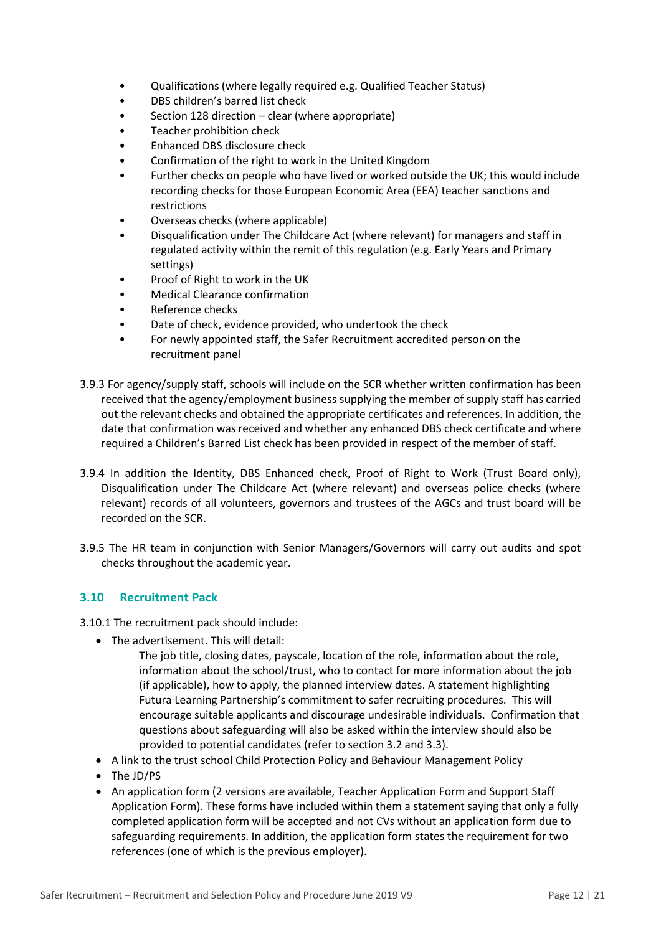- Qualifications (where legally required e.g. Qualified Teacher Status)
- DBS children's barred list check
- Section 128 direction clear (where appropriate)
- Teacher prohibition check
- Enhanced DBS disclosure check
- Confirmation of the right to work in the United Kingdom
- Further checks on people who have lived or worked outside the UK; this would include recording checks for those European Economic Area (EEA) teacher sanctions and restrictions
- Overseas checks (where applicable)
- Disqualification under The Childcare Act (where relevant) for managers and staff in regulated activity within the remit of this regulation (e.g. Early Years and Primary settings)
- Proof of Right to work in the UK
- Medical Clearance confirmation
- Reference checks
- Date of check, evidence provided, who undertook the check
- For newly appointed staff, the Safer Recruitment accredited person on the recruitment panel
- 3.9.3 For agency/supply staff, schools will include on the SCR whether written confirmation has been received that the agency/employment business supplying the member of supply staff has carried out the relevant checks and obtained the appropriate certificates and references. In addition, the date that confirmation was received and whether any enhanced DBS check certificate and where required a Children's Barred List check has been provided in respect of the member of staff.
- 3.9.4 In addition the Identity, DBS Enhanced check, Proof of Right to Work (Trust Board only), Disqualification under The Childcare Act (where relevant) and overseas police checks (where relevant) records of all volunteers, governors and trustees of the AGCs and trust board will be recorded on the SCR.
- 3.9.5 The HR team in conjunction with Senior Managers/Governors will carry out audits and spot checks throughout the academic year.

# <span id="page-11-0"></span>**3.10 Recruitment Pack**

3.10.1 The recruitment pack should include:

- The advertisement. This will detail:
	- The job title, closing dates, payscale, location of the role, information about the role, information about the school/trust, who to contact for more information about the job (if applicable), how to apply, the planned interview dates. A statement highlighting Futura Learning Partnership's commitment to safer recruiting procedures. This will encourage suitable applicants and discourage undesirable individuals. Confirmation that questions about safeguarding will also be asked within the interview should also be provided to potential candidates (refer to section 3.2 and 3.3).
- A link to the trust school Child Protection Policy and Behaviour Management Policy
- The JD/PS
- An application form (2 versions are available, Teacher Application Form and Support Staff Application Form). These forms have included within them a statement saying that only a fully completed application form will be accepted and not CVs without an application form due to safeguarding requirements. In addition, the application form states the requirement for two references (one of which is the previous employer).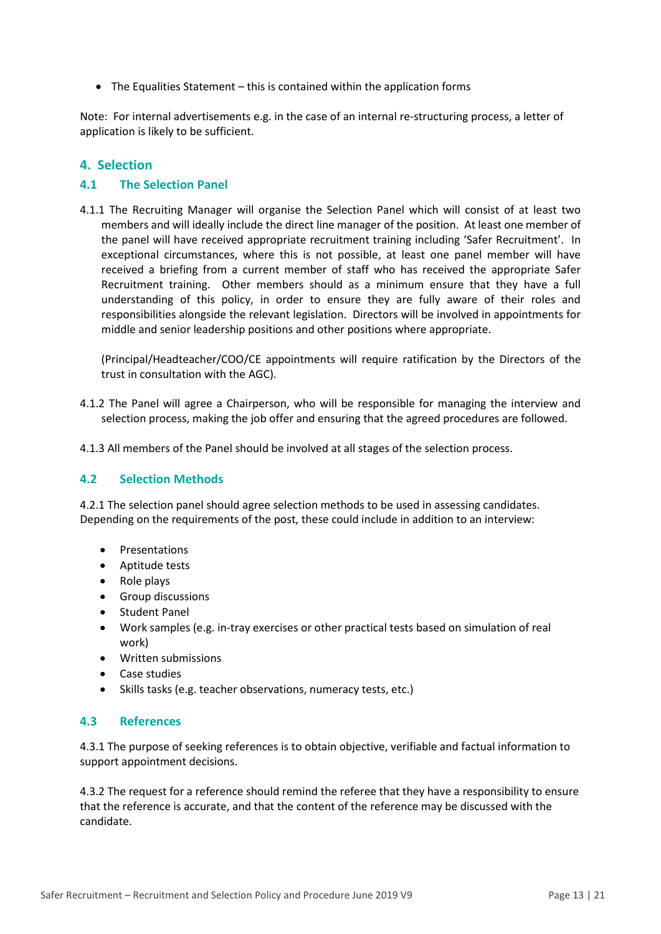The Equalities Statement – this is contained within the application forms

Note: For internal advertisements e.g. in the case of an internal re-structuring process, a letter of application is likely to be sufficient.

# <span id="page-12-0"></span>**4. Selection**

#### <span id="page-12-1"></span>**4.1 The Selection Panel**

4.1.1 The Recruiting Manager will organise the Selection Panel which will consist of at least two members and will ideally include the direct line manager of the position. At least one member of the panel will have received appropriate recruitment training including 'Safer Recruitment'. In exceptional circumstances, where this is not possible, at least one panel member will have received a briefing from a current member of staff who has received the appropriate Safer Recruitment training. Other members should as a minimum ensure that they have a full understanding of this policy, in order to ensure they are fully aware of their roles and responsibilities alongside the relevant legislation. Directors will be involved in appointments for middle and senior leadership positions and other positions where appropriate.

(Principal/Headteacher/COO/CE appointments will require ratification by the Directors of the trust in consultation with the AGC).

- 4.1.2 The Panel will agree a Chairperson, who will be responsible for managing the interview and selection process, making the job offer and ensuring that the agreed procedures are followed.
- 4.1.3 All members of the Panel should be involved at all stages of the selection process.

#### <span id="page-12-2"></span>**4.2 Selection Methods**

4.2.1 The selection panel should agree selection methods to be used in assessing candidates. Depending on the requirements of the post, these could include in addition to an interview:

- Presentations
- Aptitude tests
- Role plays
- **•** Group discussions
- Student Panel
- Work samples (e.g. in-tray exercises or other practical tests based on simulation of real work)
- Written submissions
- Case studies
- Skills tasks (e.g. teacher observations, numeracy tests, etc.)

#### <span id="page-12-3"></span>**4.3 References**

4.3.1 The purpose of seeking references is to obtain objective, verifiable and factual information to support appointment decisions.

4.3.2 The request for a reference should remind the referee that they have a responsibility to ensure that the reference is accurate, and that the content of the reference may be discussed with the candidate.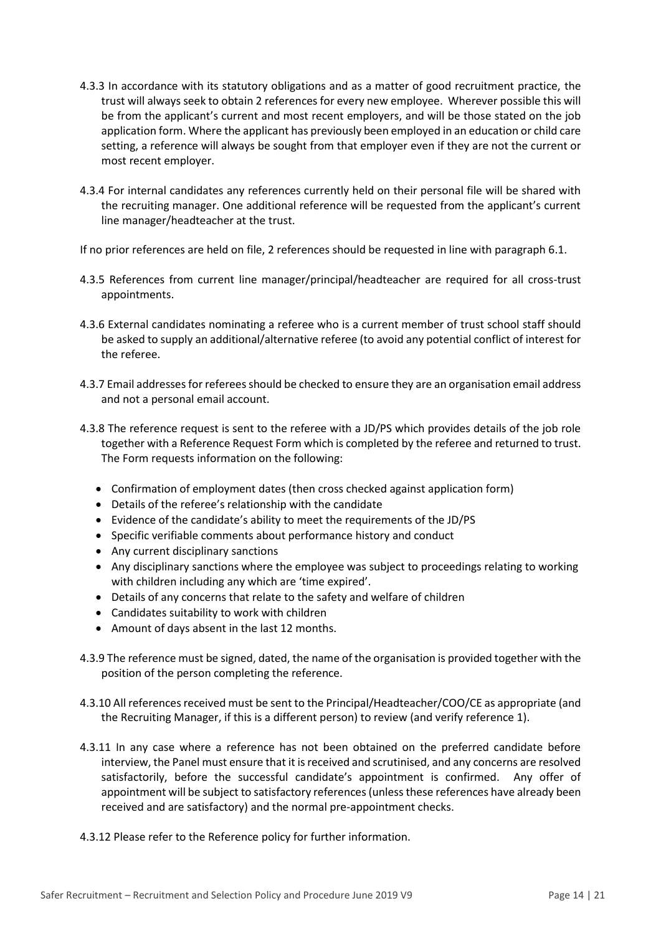- 4.3.3 In accordance with its statutory obligations and as a matter of good recruitment practice, the trust will always seek to obtain 2 references for every new employee. Wherever possible this will be from the applicant's current and most recent employers, and will be those stated on the job application form. Where the applicant has previously been employed in an education or child care setting, a reference will always be sought from that employer even if they are not the current or most recent employer.
- 4.3.4 For internal candidates any references currently held on their personal file will be shared with the recruiting manager. One additional reference will be requested from the applicant's current line manager/headteacher at the trust.

If no prior references are held on file, 2 references should be requested in line with paragraph 6.1.

- 4.3.5 References from current line manager/principal/headteacher are required for all cross-trust appointments.
- 4.3.6 External candidates nominating a referee who is a current member of trust school staff should be asked to supply an additional/alternative referee (to avoid any potential conflict of interest for the referee.
- 4.3.7 Email addresses for referees should be checked to ensure they are an organisation email address and not a personal email account.
- 4.3.8 The reference request is sent to the referee with a JD/PS which provides details of the job role together with a Reference Request Form which is completed by the referee and returned to trust. The Form requests information on the following:
	- Confirmation of employment dates (then cross checked against application form)
	- Details of the referee's relationship with the candidate
	- Evidence of the candidate's ability to meet the requirements of the JD/PS
	- Specific verifiable comments about performance history and conduct
	- Any current disciplinary sanctions
	- Any disciplinary sanctions where the employee was subject to proceedings relating to working with children including any which are 'time expired'.
	- Details of any concerns that relate to the safety and welfare of children
	- Candidates suitability to work with children
	- Amount of days absent in the last 12 months.
- 4.3.9 The reference must be signed, dated, the name of the organisation is provided together with the position of the person completing the reference.
- 4.3.10 All references received must be sent to the Principal/Headteacher/COO/CE as appropriate (and the Recruiting Manager, if this is a different person) to review (and verify reference 1).
- 4.3.11 In any case where a reference has not been obtained on the preferred candidate before interview, the Panel must ensure that it is received and scrutinised, and any concerns are resolved satisfactorily, before the successful candidate's appointment is confirmed. Any offer of appointment will be subject to satisfactory references (unless these references have already been received and are satisfactory) and the normal pre-appointment checks.
- 4.3.12 Please refer to the Reference policy for further information.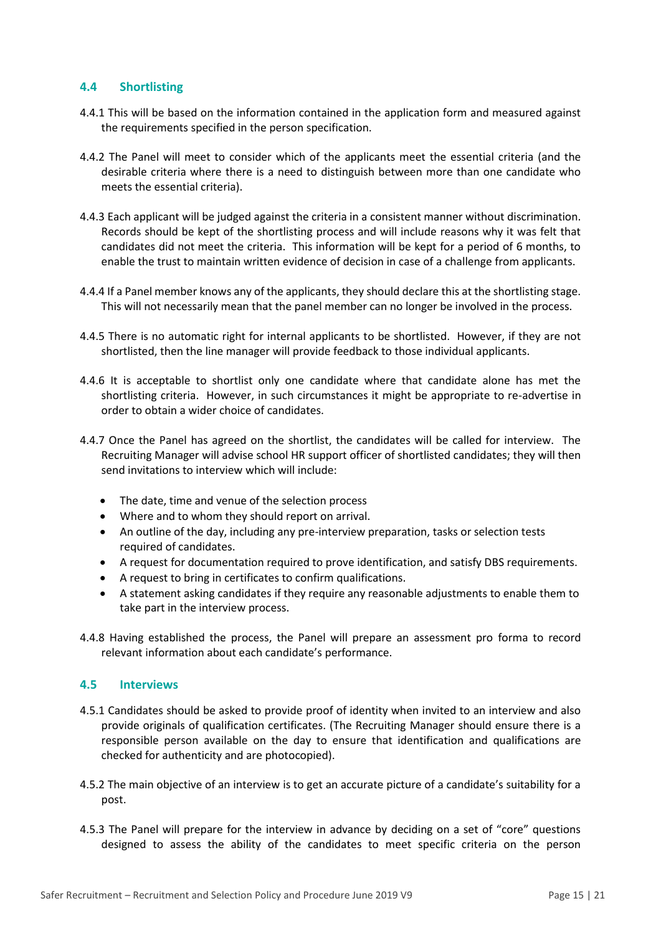#### <span id="page-14-0"></span>**4.4 Shortlisting**

- 4.4.1 This will be based on the information contained in the application form and measured against the requirements specified in the person specification.
- 4.4.2 The Panel will meet to consider which of the applicants meet the essential criteria (and the desirable criteria where there is a need to distinguish between more than one candidate who meets the essential criteria).
- 4.4.3 Each applicant will be judged against the criteria in a consistent manner without discrimination. Records should be kept of the shortlisting process and will include reasons why it was felt that candidates did not meet the criteria. This information will be kept for a period of 6 months, to enable the trust to maintain written evidence of decision in case of a challenge from applicants.
- 4.4.4 If a Panel member knows any of the applicants, they should declare this at the shortlisting stage. This will not necessarily mean that the panel member can no longer be involved in the process.
- 4.4.5 There is no automatic right for internal applicants to be shortlisted. However, if they are not shortlisted, then the line manager will provide feedback to those individual applicants.
- 4.4.6 It is acceptable to shortlist only one candidate where that candidate alone has met the shortlisting criteria. However, in such circumstances it might be appropriate to re-advertise in order to obtain a wider choice of candidates.
- 4.4.7 Once the Panel has agreed on the shortlist, the candidates will be called for interview. The Recruiting Manager will advise school HR support officer of shortlisted candidates; they will then send invitations to interview which will include:
	- The date, time and venue of the selection process
	- Where and to whom they should report on arrival.
	- An outline of the day, including any pre-interview preparation, tasks or selection tests required of candidates.
	- A request for documentation required to prove identification, and satisfy DBS requirements.
	- A request to bring in certificates to confirm qualifications.
	- A statement asking candidates if they require any reasonable adjustments to enable them to take part in the interview process.
- 4.4.8 Having established the process, the Panel will prepare an assessment pro forma to record relevant information about each candidate's performance.

# <span id="page-14-1"></span>**4.5 Interviews**

- 4.5.1 Candidates should be asked to provide proof of identity when invited to an interview and also provide originals of qualification certificates. (The Recruiting Manager should ensure there is a responsible person available on the day to ensure that identification and qualifications are checked for authenticity and are photocopied).
- 4.5.2 The main objective of an interview is to get an accurate picture of a candidate's suitability for a post.
- 4.5.3 The Panel will prepare for the interview in advance by deciding on a set of "core" questions designed to assess the ability of the candidates to meet specific criteria on the person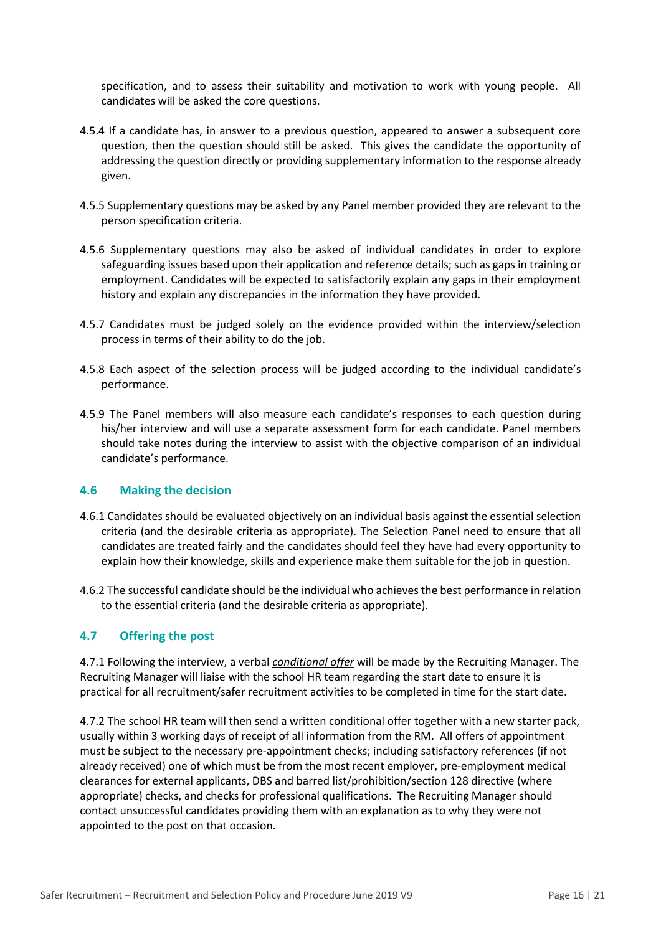specification, and to assess their suitability and motivation to work with young people. All candidates will be asked the core questions.

- 4.5.4 If a candidate has, in answer to a previous question, appeared to answer a subsequent core question, then the question should still be asked. This gives the candidate the opportunity of addressing the question directly or providing supplementary information to the response already given.
- 4.5.5 Supplementary questions may be asked by any Panel member provided they are relevant to the person specification criteria.
- 4.5.6 Supplementary questions may also be asked of individual candidates in order to explore safeguarding issues based upon their application and reference details; such as gaps in training or employment. Candidates will be expected to satisfactorily explain any gaps in their employment history and explain any discrepancies in the information they have provided.
- 4.5.7 Candidates must be judged solely on the evidence provided within the interview/selection process in terms of their ability to do the job.
- 4.5.8 Each aspect of the selection process will be judged according to the individual candidate's performance.
- 4.5.9 The Panel members will also measure each candidate's responses to each question during his/her interview and will use a separate assessment form for each candidate. Panel members should take notes during the interview to assist with the objective comparison of an individual candidate's performance.

#### <span id="page-15-0"></span>**4.6 Making the decision**

- 4.6.1 Candidates should be evaluated objectively on an individual basis against the essential selection criteria (and the desirable criteria as appropriate). The Selection Panel need to ensure that all candidates are treated fairly and the candidates should feel they have had every opportunity to explain how their knowledge, skills and experience make them suitable for the job in question.
- 4.6.2 The successful candidate should be the individual who achieves the best performance in relation to the essential criteria (and the desirable criteria as appropriate).

# <span id="page-15-1"></span>**4.7 Offering the post**

4.7.1 Following the interview, a verbal *conditional offer* will be made by the Recruiting Manager. The Recruiting Manager will liaise with the school HR team regarding the start date to ensure it is practical for all recruitment/safer recruitment activities to be completed in time for the start date.

4.7.2 The school HR team will then send a written conditional offer together with a new starter pack, usually within 3 working days of receipt of all information from the RM. All offers of appointment must be subject to the necessary pre-appointment checks; including satisfactory references (if not already received) one of which must be from the most recent employer, pre-employment medical clearances for external applicants, DBS and barred list/prohibition/section 128 directive (where appropriate) checks, and checks for professional qualifications. The Recruiting Manager should contact unsuccessful candidates providing them with an explanation as to why they were not appointed to the post on that occasion.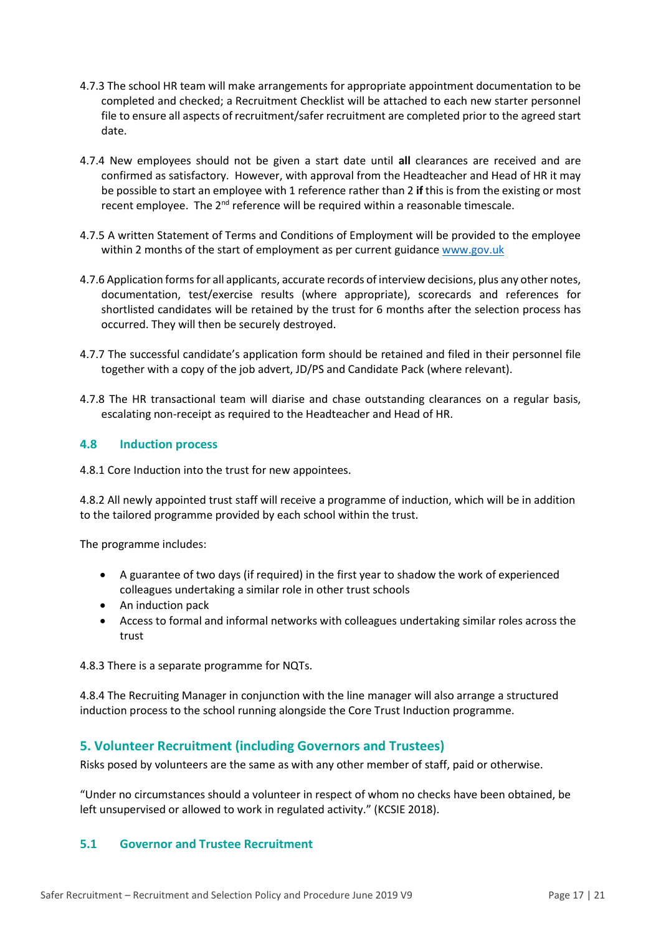- 4.7.3 The school HR team will make arrangements for appropriate appointment documentation to be completed and checked; a Recruitment Checklist will be attached to each new starter personnel file to ensure all aspects of recruitment/safer recruitment are completed prior to the agreed start date.
- 4.7.4 New employees should not be given a start date until **all** clearances are received and are confirmed as satisfactory. However, with approval from the Headteacher and Head of HR it may be possible to start an employee with 1 reference rather than 2 **if** this is from the existing or most recent employee. The 2<sup>nd</sup> reference will be required within a reasonable timescale.
- 4.7.5 A written Statement of Terms and Conditions of Employment will be provided to the employee within 2 months of the start of employment as per current guidance [www.gov.uk](http://www.gov.uk/)
- 4.7.6 Application forms for all applicants, accurate records of interview decisions, plus any other notes, documentation, test/exercise results (where appropriate), scorecards and references for shortlisted candidates will be retained by the trust for 6 months after the selection process has occurred. They will then be securely destroyed.
- 4.7.7 The successful candidate's application form should be retained and filed in their personnel file together with a copy of the job advert, JD/PS and Candidate Pack (where relevant).
- 4.7.8 The HR transactional team will diarise and chase outstanding clearances on a regular basis, escalating non-receipt as required to the Headteacher and Head of HR.

#### <span id="page-16-0"></span>**4.8 Induction process**

4.8.1 Core Induction into the trust for new appointees.

4.8.2 All newly appointed trust staff will receive a programme of induction, which will be in addition to the tailored programme provided by each school within the trust.

The programme includes:

- A guarantee of two days (if required) in the first year to shadow the work of experienced colleagues undertaking a similar role in other trust schools
- An induction pack
- Access to formal and informal networks with colleagues undertaking similar roles across the trust

4.8.3 There is a separate programme for NQTs.

4.8.4 The Recruiting Manager in conjunction with the line manager will also arrange a structured induction process to the school running alongside the Core Trust Induction programme.

# <span id="page-16-1"></span>**5. Volunteer Recruitment (including Governors and Trustees)**

Risks posed by volunteers are the same as with any other member of staff, paid or otherwise.

"Under no circumstances should a volunteer in respect of whom no checks have been obtained, be left unsupervised or allowed to work in regulated activity." (KCSIE 2018).

# <span id="page-16-2"></span>**5.1 Governor and Trustee Recruitment**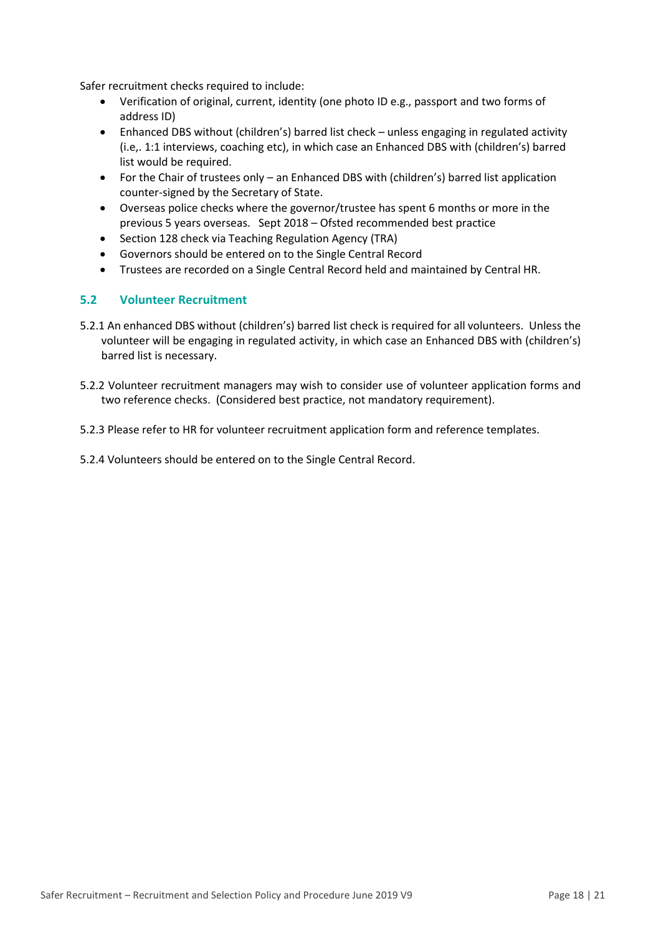Safer recruitment checks required to include:

- Verification of original, current, identity (one photo ID e.g., passport and two forms of address ID)
- Enhanced DBS without (children's) barred list check unless engaging in regulated activity (i.e,. 1:1 interviews, coaching etc), in which case an Enhanced DBS with (children's) barred list would be required.
- For the Chair of trustees only an Enhanced DBS with (children's) barred list application counter-signed by the Secretary of State.
- Overseas police checks where the governor/trustee has spent 6 months or more in the previous 5 years overseas. Sept 2018 – Ofsted recommended best practice
- Section 128 check via Teaching Regulation Agency (TRA)
- Governors should be entered on to the Single Central Record
- Trustees are recorded on a Single Central Record held and maintained by Central HR.

# <span id="page-17-0"></span>**5.2 Volunteer Recruitment**

- 5.2.1 An enhanced DBS without (children's) barred list check is required for all volunteers. Unless the volunteer will be engaging in regulated activity, in which case an Enhanced DBS with (children's) barred list is necessary.
- 5.2.2 Volunteer recruitment managers may wish to consider use of volunteer application forms and two reference checks. (Considered best practice, not mandatory requirement).
- 5.2.3 Please refer to HR for volunteer recruitment application form and reference templates.
- 5.2.4 Volunteers should be entered on to the Single Central Record.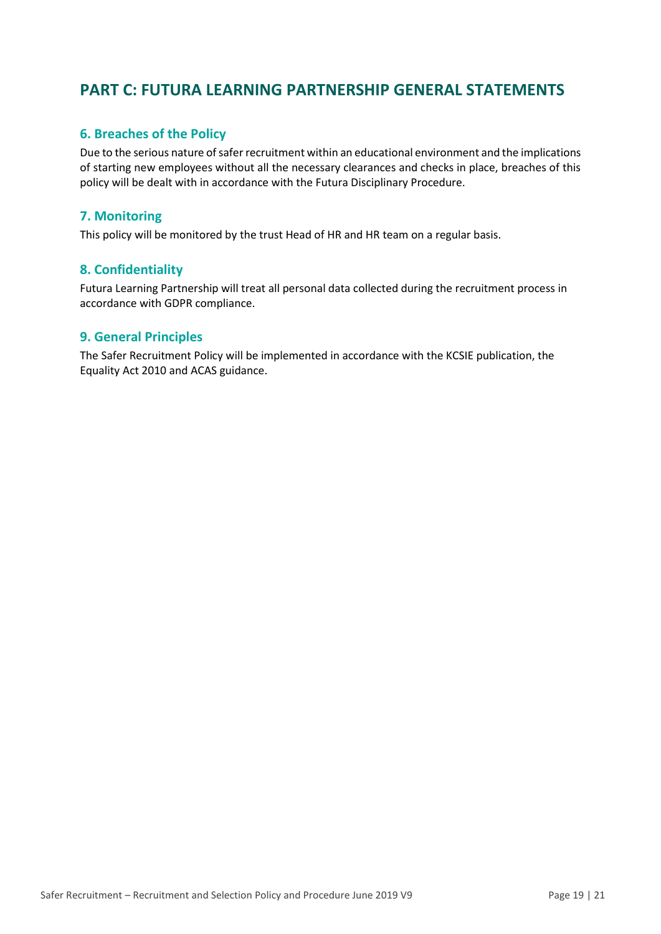# <span id="page-18-0"></span>**PART C: FUTURA LEARNING PARTNERSHIP GENERAL STATEMENTS**

# <span id="page-18-1"></span>**6. Breaches of the Policy**

Due to the serious nature of safer recruitment within an educational environment and the implications of starting new employees without all the necessary clearances and checks in place, breaches of this policy will be dealt with in accordance with the Futura Disciplinary Procedure.

# <span id="page-18-2"></span>**7. Monitoring**

This policy will be monitored by the trust Head of HR and HR team on a regular basis.

# <span id="page-18-3"></span>**8. Confidentiality**

Futura Learning Partnership will treat all personal data collected during the recruitment process in accordance with GDPR compliance.

# <span id="page-18-4"></span>**9. General Principles**

The Safer Recruitment Policy will be implemented in accordance with the KCSIE publication, the Equality Act 2010 and ACAS guidance.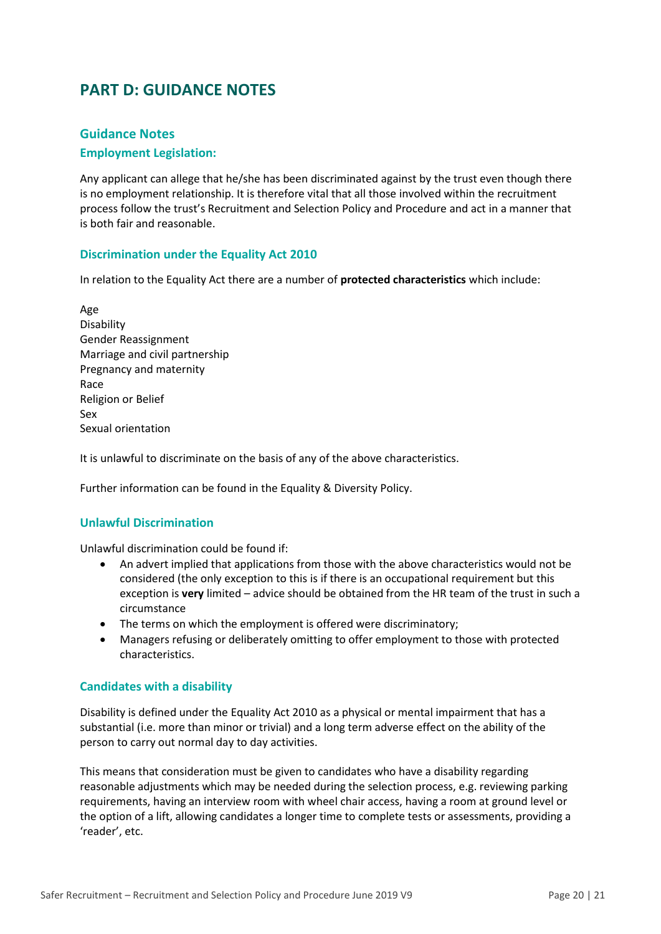# <span id="page-19-0"></span>**PART D: GUIDANCE NOTES**

# <span id="page-19-1"></span>**Guidance Notes**

#### <span id="page-19-2"></span>**Employment Legislation:**

Any applicant can allege that he/she has been discriminated against by the trust even though there is no employment relationship. It is therefore vital that all those involved within the recruitment process follow the trust's Recruitment and Selection Policy and Procedure and act in a manner that is both fair and reasonable.

#### <span id="page-19-3"></span>**Discrimination under the Equality Act 2010**

In relation to the Equality Act there are a number of **protected characteristics** which include:

Age Disability Gender Reassignment Marriage and civil partnership Pregnancy and maternity Race Religion or Belief Sex Sexual orientation

It is unlawful to discriminate on the basis of any of the above characteristics.

Further information can be found in the Equality & Diversity Policy.

#### <span id="page-19-4"></span>**Unlawful Discrimination**

Unlawful discrimination could be found if:

- An advert implied that applications from those with the above characteristics would not be considered (the only exception to this is if there is an occupational requirement but this exception is **very** limited – advice should be obtained from the HR team of the trust in such a circumstance
- The terms on which the employment is offered were discriminatory;
- Managers refusing or deliberately omitting to offer employment to those with protected characteristics.

#### <span id="page-19-5"></span>**Candidates with a disability**

Disability is defined under the Equality Act 2010 as a physical or mental impairment that has a substantial (i.e. more than minor or trivial) and a long term adverse effect on the ability of the person to carry out normal day to day activities.

This means that consideration must be given to candidates who have a disability regarding reasonable adjustments which may be needed during the selection process, e.g. reviewing parking requirements, having an interview room with wheel chair access, having a room at ground level or the option of a lift, allowing candidates a longer time to complete tests or assessments, providing a 'reader', etc.